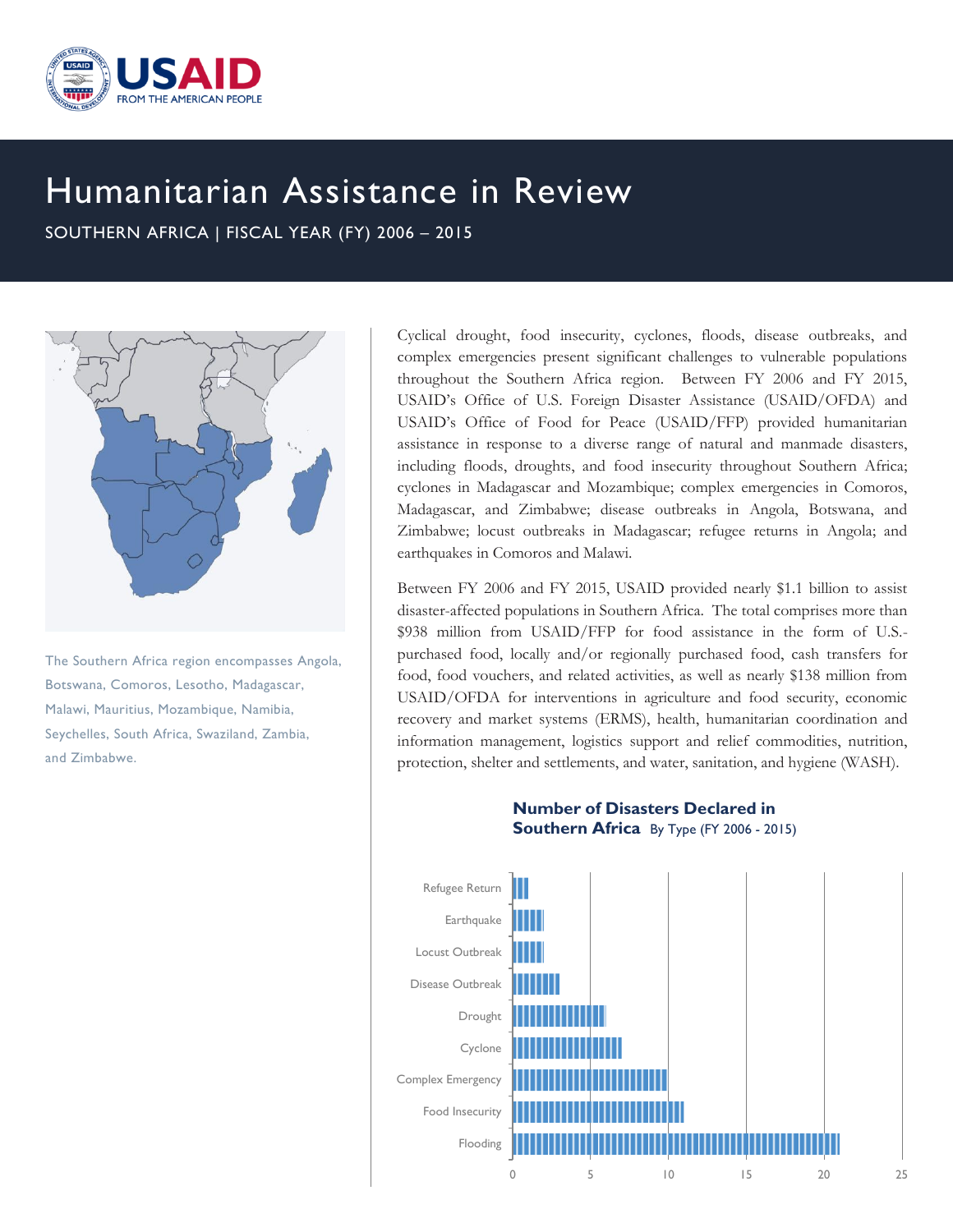

## Humanitarian Assistance in Review

SOUTHERN AFRICA | FISCAL YEAR (FY) 2006 – 2015



The Southern Africa region encompasses Angola, Botswana, Comoros, Lesotho, Madagascar, Malawi, Mauritius, Mozambique, Namibia, Seychelles, South Africa, Swaziland, Zambia, and Zimbabwe.

Cyclical drought, food insecurity, cyclones, floods, disease outbreaks, and complex emergencies present significant challenges to vulnerable populations throughout the Southern Africa region. Between FY 2006 and FY 2015, USAID's Office of U.S. Foreign Disaster Assistance (USAID/OFDA) and USAID's Office of Food for Peace (USAID/FFP) provided humanitarian assistance in response to a diverse range of natural and manmade disasters, including floods, droughts, and food insecurity throughout Southern Africa; cyclones in Madagascar and Mozambique; complex emergencies in Comoros, Madagascar, and Zimbabwe; disease outbreaks in Angola, Botswana, and Zimbabwe; locust outbreaks in Madagascar; refugee returns in Angola; and earthquakes in Comoros and Malawi.

Between FY 2006 and FY 2015, USAID provided nearly \$1.1 billion to assist disaster-affected populations in Southern Africa. The total comprises more than \$938 million from USAID/FFP for food assistance in the form of U.S. purchased food, locally and/or regionally purchased food, cash transfers for food, food vouchers, and related activities, as well as nearly \$138 million from USAID/OFDA for interventions in agriculture and food security, economic recovery and market systems (ERMS), health, humanitarian coordination and information management, logistics support and relief commodities, nutrition, protection, shelter and settlements, and water, sanitation, and hygiene (WASH).

## **Number of Disasters Declared in Southern Africa** By Type (FY 2006 - 2015)